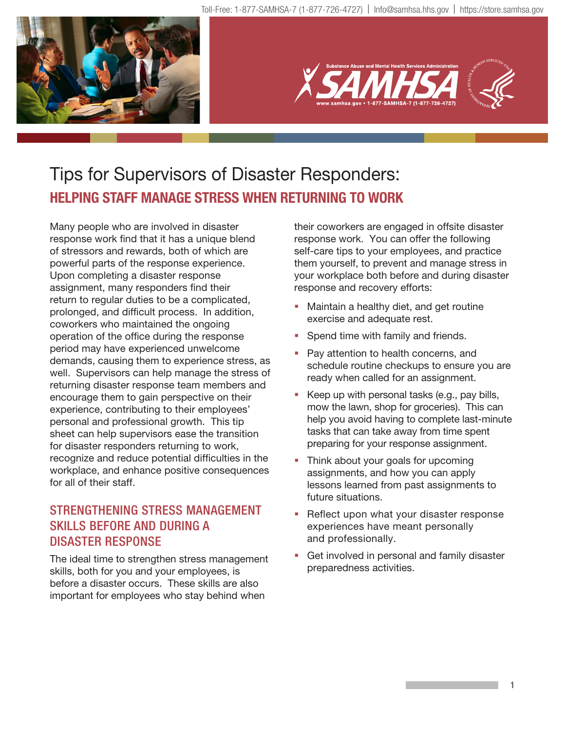



# Tips for Supervisors of Disaster Responders: **HELPING STAFF MANAGE STRESS WHEN RETURNING TO WORK**

Many people who are involved in disaster response work find that it has a unique blend of stressors and rewards, both of which are powerful parts of the response experience. Upon completing a disaster response assignment, many responders find their return to regular duties to be a complicated, prolonged, and difficult process. In addition, coworkers who maintained the ongoing operation of the office during the response period may have experienced unwelcome demands, causing them to experience stress, as well. Supervisors can help manage the stress of returning disaster response team members and encourage them to gain perspective on their experience, contributing to their employees' personal and professional growth. This tip sheet can help supervisors ease the transition for disaster responders returning to work, recognize and reduce potential difficulties in the workplace, and enhance positive consequences for all of their staff.

# STRENGTHENING STRESS MANAGEMENT SKILLS BEFORE AND DURING A DISASTER RESPONSE

The ideal time to strengthen stress management skills, both for you and your employees, is before a disaster occurs. These skills are also important for employees who stay behind when

their coworkers are engaged in offsite disaster response work. You can offer the following self-care tips to your employees, and practice them yourself, to prevent and manage stress in your workplace both before and during disaster response and recovery efforts:

- **Maintain a healthy diet, and get routine** exercise and adequate rest.
- **Spend time with family and friends.**
- **Pay attention to health concerns, and** schedule routine checkups to ensure you are ready when called for an assignment.
- Keep up with personal tasks (e.g., pay bills, mow the lawn, shop for groceries). This can help you avoid having to complete last-minute tasks that can take away from time spent preparing for your response assignment.
- Think about your goals for upcoming assignments, and how you can apply lessons learned from past assignments to future situations.
- Reflect upon what your disaster response experiences have meant personally and professionally.
- Get involved in personal and family disaster preparedness activities.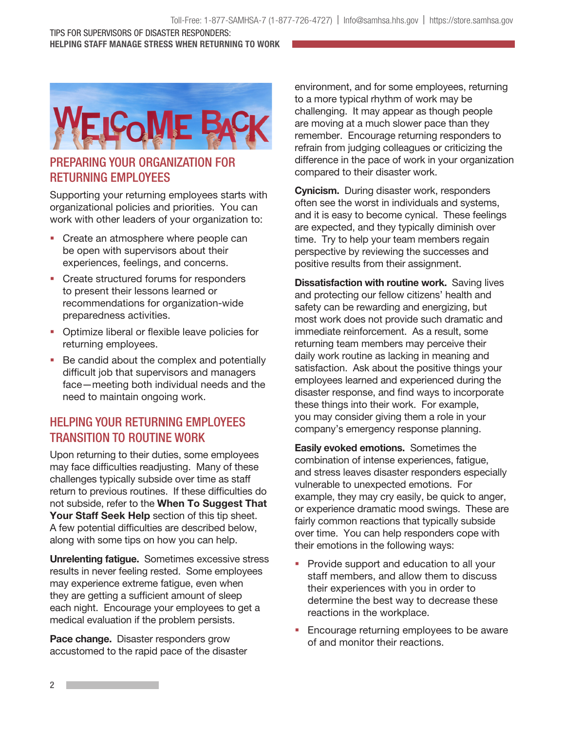#### TIPS FOR SUPERVISORS OF DISASTER RESPONDERS: HELPING STAFF MANAGE STRESS WHEN RETURNING TO WORK



### PREPARING YOUR ORGANIZATION FOR RETURNING EMPLOYEES

Supporting your returning employees starts with organizational policies and priorities. You can work with other leaders of your organization to:

- Create an atmosphere where people can be open with supervisors about their experiences, feelings, and concerns.
- **Create structured forums for responders** to present their lessons learned or recommendations for organization-wide preparedness activities.
- **Optimize liberal or flexible leave policies for** returning employees.
- Be candid about the complex and potentially difficult job that supervisors and managers face—meeting both individual needs and the need to maintain ongoing work.

# HELPING YOUR RETURNING EMPLOYEES TRANSITION TO ROUTINE WORK

Upon returning to their duties, some employees may face difficulties readjusting. Many of these challenges typically subside over time as staff return to previous routines. If these difficulties do not subside, refer to the When To Suggest That Your Staff Seek Help section of this tip sheet. A few potential difficulties are described below, along with some tips on how you can help.

Unrelenting fatigue. Sometimes excessive stress results in never feeling rested. Some employees may experience extreme fatigue, even when they are getting a sufficient amount of sleep each night. Encourage your employees to get a medical evaluation if the problem persists.

Pace change. Disaster responders grow accustomed to the rapid pace of the disaster

environment, and for some employees, returning to a more typical rhythm of work may be challenging. It may appear as though people are moving at a much slower pace than they remember. Encourage returning responders to refrain from judging colleagues or criticizing the difference in the pace of work in your organization compared to their disaster work.

Cynicism. During disaster work, responders often see the worst in individuals and systems, and it is easy to become cynical. These feelings are expected, and they typically diminish over time. Try to help your team members regain perspective by reviewing the successes and positive results from their assignment.

**Dissatisfaction with routine work.** Saving lives and protecting our fellow citizens' health and safety can be rewarding and energizing, but most work does not provide such dramatic and immediate reinforcement. As a result, some returning team members may perceive their daily work routine as lacking in meaning and satisfaction. Ask about the positive things your employees learned and experienced during the disaster response, and find ways to incorporate these things into their work. For example, you may consider giving them a role in your company's emergency response planning.

Easily evoked emotions. Sometimes the combination of intense experiences, fatigue, and stress leaves disaster responders especially vulnerable to unexpected emotions. For example, they may cry easily, be quick to anger, or experience dramatic mood swings. These are fairly common reactions that typically subside over time. You can help responders cope with their emotions in the following ways:

- **Provide support and education to all your** staff members, and allow them to discuss their experiences with you in order to determine the best way to decrease these reactions in the workplace.
- **Encourage returning employees to be aware** of and monitor their reactions.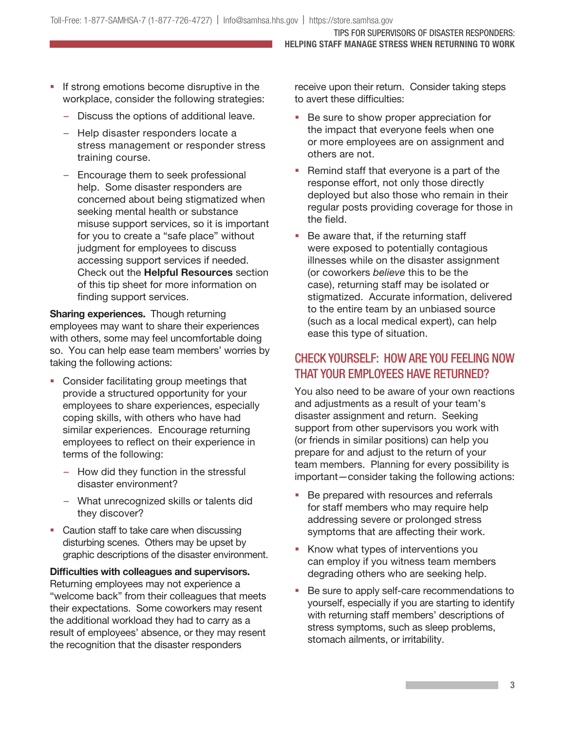TIPS FOR SUPERVISORS OF DISASTER RESPONDERS: HELPING STAFF MANAGE STRESS WHEN RETURNING TO WORK

- If strong emotions become disruptive in the workplace, consider the following strategies:
	- Discuss the options of additional leave.
	- Help disaster responders locate a stress management or responder stress training course.
	- Encourage them to seek professional help. Some disaster responders are concerned about being stigmatized when seeking mental health or substance misuse support services, so it is important for you to create a "safe place" without judgment for employees to discuss accessing support services if needed. Check out the Helpful Resources section of this tip sheet for more information on finding support services.

Sharing experiences. Though returning employees may want to share their experiences with others, some may feel uncomfortable doing so. You can help ease team members' worries by taking the following actions:

- **Consider facilitating group meetings that** provide a structured opportunity for your employees to share experiences, especially coping skills, with others who have had similar experiences. Encourage returning employees to reflect on their experience in terms of the following:
	- How did they function in the stressful disaster environment?
	- What unrecognized skills or talents did they discover?
- Caution staff to take care when discussing disturbing scenes. Others may be upset by graphic descriptions of the disaster environment.

Difficulties with colleagues and supervisors. Returning employees may not experience a "welcome back" from their colleagues that meets their expectations. Some coworkers may resent the additional workload they had to carry as a result of employees' absence, or they may resent the recognition that the disaster responders

receive upon their return. Consider taking steps to avert these difficulties:

- Be sure to show proper appreciation for the impact that everyone feels when one or more employees are on assignment and others are not.
- Remind staff that everyone is a part of the response effort, not only those directly deployed but also those who remain in their regular posts providing coverage for those in the field.
- Be aware that, if the returning staff were exposed to potentially contagious illnesses while on the disaster assignment (or coworkers believe this to be the case), returning staff may be isolated or stigmatized. Accurate information, delivered to the entire team by an unbiased source (such as a local medical expert), can help ease this type of situation.

## CHECK YOURSELF: HOW ARE YOU FEELING NOW THAT YOUR EMPLOYEES HAVE RETURNED?

You also need to be aware of your own reactions and adjustments as a result of your team's disaster assignment and return. Seeking support from other supervisors you work with (or friends in similar positions) can help you prepare for and adjust to the return of your team members. Planning for every possibility is important—consider taking the following actions:

- **Be prepared with resources and referrals** for staff members who may require help addressing severe or prolonged stress symptoms that are affecting their work.
- Know what types of interventions you can employ if you witness team members degrading others who are seeking help.
- Be sure to apply self-care recommendations to yourself, especially if you are starting to identify with returning staff members' descriptions of stress symptoms, such as sleep problems, stomach ailments, or irritability.